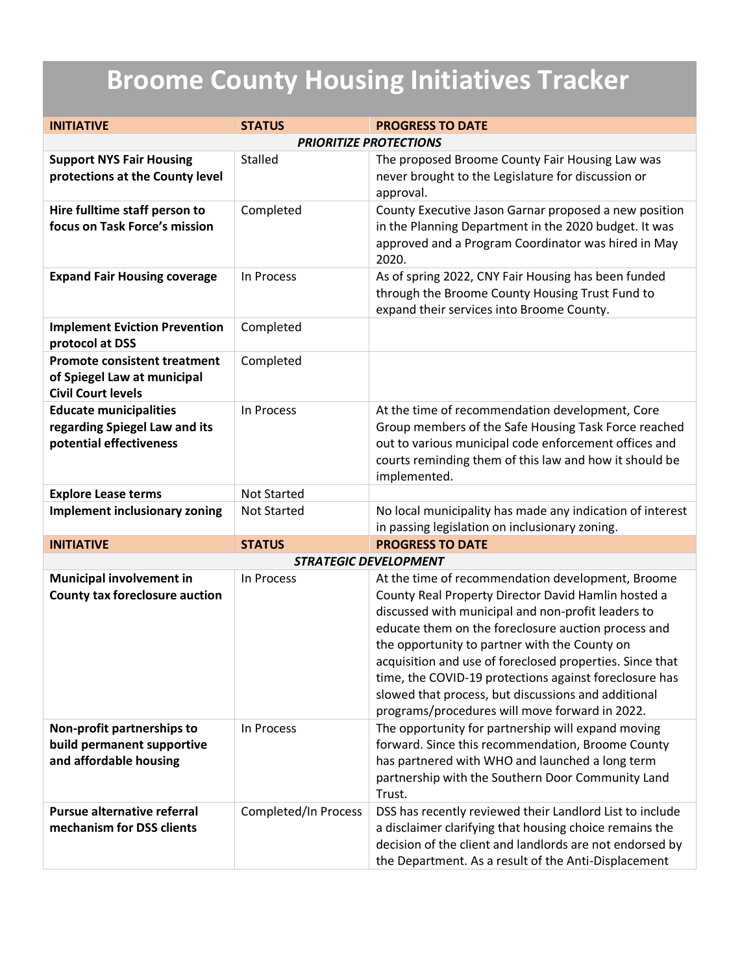## **Broome County Housing Initiatives Tracker**

| <b>INITIATIVE</b>                                                                               | <b>STATUS</b>        | <b>PROGRESS TO DATE</b>                                                                                                                                                                                                                                                                                                                                                                                                                                                                               |  |
|-------------------------------------------------------------------------------------------------|----------------------|-------------------------------------------------------------------------------------------------------------------------------------------------------------------------------------------------------------------------------------------------------------------------------------------------------------------------------------------------------------------------------------------------------------------------------------------------------------------------------------------------------|--|
| <b>PRIORITIZE PROTECTIONS</b>                                                                   |                      |                                                                                                                                                                                                                                                                                                                                                                                                                                                                                                       |  |
| <b>Support NYS Fair Housing</b><br>protections at the County level                              | Stalled              | The proposed Broome County Fair Housing Law was<br>never brought to the Legislature for discussion or<br>approval.                                                                                                                                                                                                                                                                                                                                                                                    |  |
| Hire fulltime staff person to<br>focus on Task Force's mission                                  | Completed            | County Executive Jason Garnar proposed a new position<br>in the Planning Department in the 2020 budget. It was<br>approved and a Program Coordinator was hired in May<br>2020.                                                                                                                                                                                                                                                                                                                        |  |
| <b>Expand Fair Housing coverage</b>                                                             | In Process           | As of spring 2022, CNY Fair Housing has been funded<br>through the Broome County Housing Trust Fund to<br>expand their services into Broome County.                                                                                                                                                                                                                                                                                                                                                   |  |
| <b>Implement Eviction Prevention</b><br>protocol at DSS                                         | Completed            |                                                                                                                                                                                                                                                                                                                                                                                                                                                                                                       |  |
| <b>Promote consistent treatment</b><br>of Spiegel Law at municipal<br><b>Civil Court levels</b> | Completed            |                                                                                                                                                                                                                                                                                                                                                                                                                                                                                                       |  |
| <b>Educate municipalities</b><br>regarding Spiegel Law and its<br>potential effectiveness       | In Process           | At the time of recommendation development, Core<br>Group members of the Safe Housing Task Force reached<br>out to various municipal code enforcement offices and<br>courts reminding them of this law and how it should be<br>implemented.                                                                                                                                                                                                                                                            |  |
| <b>Explore Lease terms</b>                                                                      | <b>Not Started</b>   |                                                                                                                                                                                                                                                                                                                                                                                                                                                                                                       |  |
| <b>Implement inclusionary zoning</b>                                                            | <b>Not Started</b>   | No local municipality has made any indication of interest<br>in passing legislation on inclusionary zoning.                                                                                                                                                                                                                                                                                                                                                                                           |  |
| <b>INITIATIVE</b>                                                                               | <b>STATUS</b>        | <b>PROGRESS TO DATE</b>                                                                                                                                                                                                                                                                                                                                                                                                                                                                               |  |
| <b>STRATEGIC DEVELOPMENT</b>                                                                    |                      |                                                                                                                                                                                                                                                                                                                                                                                                                                                                                                       |  |
| <b>Municipal involvement in</b><br><b>County tax foreclosure auction</b>                        | In Process           | At the time of recommendation development, Broome<br>County Real Property Director David Hamlin hosted a<br>discussed with municipal and non-profit leaders to<br>educate them on the foreclosure auction process and<br>the opportunity to partner with the County on<br>acquisition and use of foreclosed properties. Since that<br>time, the COVID-19 protections against foreclosure has<br>slowed that process, but discussions and additional<br>programs/procedures will move forward in 2022. |  |
| Non-profit partnerships to<br>build permanent supportive<br>and affordable housing              | In Process           | The opportunity for partnership will expand moving<br>forward. Since this recommendation, Broome County<br>has partnered with WHO and launched a long term<br>partnership with the Southern Door Community Land<br>Trust.                                                                                                                                                                                                                                                                             |  |
| <b>Pursue alternative referral</b><br>mechanism for DSS clients                                 | Completed/In Process | DSS has recently reviewed their Landlord List to include<br>a disclaimer clarifying that housing choice remains the<br>decision of the client and landlords are not endorsed by<br>the Department. As a result of the Anti-Displacement                                                                                                                                                                                                                                                               |  |